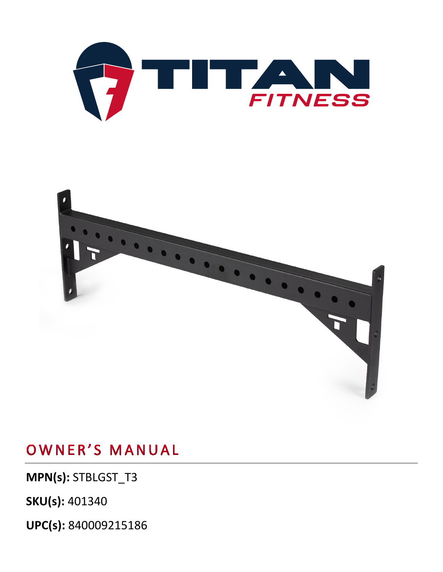**UPC(s):** 840009215186

**SKU(s):** 401340

**MPN(s):** STBLGST\_T3



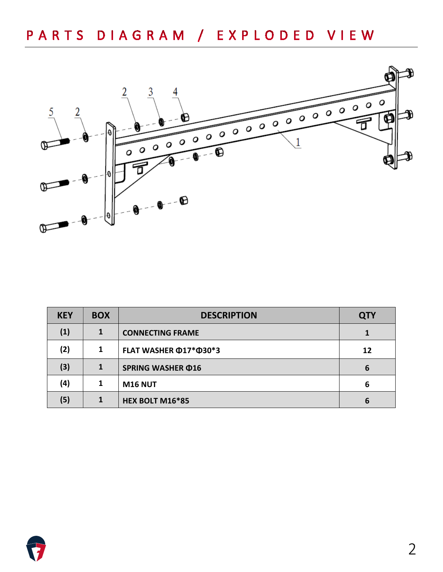

| <b>KEY</b> | <b>BOX</b> | <b>DESCRIPTION</b>       | <b>QTY</b> |
|------------|------------|--------------------------|------------|
| (1)        |            | <b>CONNECTING FRAME</b>  |            |
| (2)        | 1          | FLAT WASHER @17*@30*3    | 12         |
| (3)        |            | <b>SPRING WASHER @16</b> | 6          |
| (4)        |            | <b>M16 NUT</b>           | 6          |
| (5)        |            | HEX BOLT M16*85          | 6          |

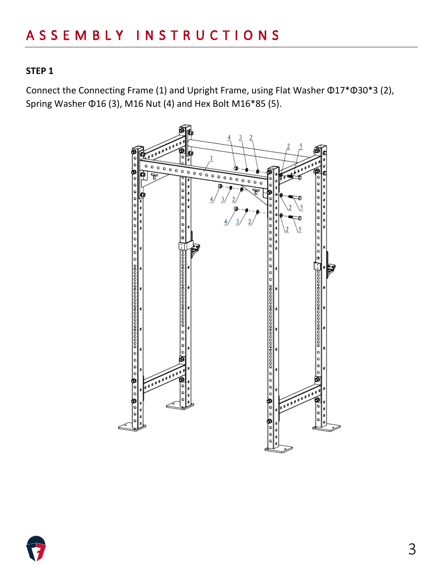#### **STEP 1**

Connect the Connecting Frame (1) and Upright Frame, using Flat Washer Φ17\*Φ30\*3 (2), Spring Washer Φ16 (3), M16 Nut (4) and Hex Bolt M16\*85 (5).